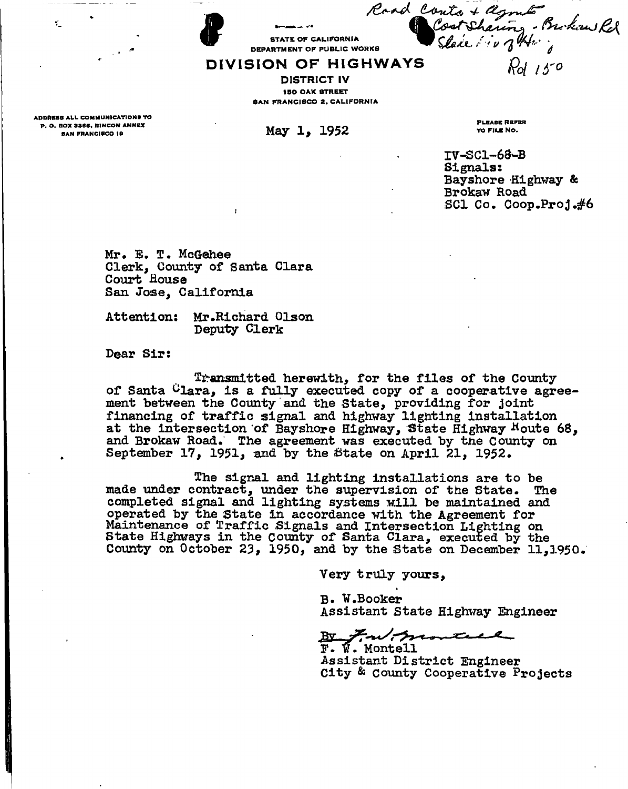STATE OF CALIFORNIA DEPARTMENT OF PUBLIC WORKS

# **DIVISIO N O F HIGHWAY S**

DISTRICT IV 150 OAK STREET SAN FRANCISCO 2. CALIFORNIA

ADDRESS ALL COMMUNICATIONS TO<br>P. O. BOX 3366, RINCON ANNEX P. O . BO X 336B , RINCO N ANNEX **May 1, 1952** 

¥.

PLEASE REFER TO FILE NO.

**IV-SC1-63-B Signals: Bayshore -Highway & Brokaw Road SCI Co. Coop.ProJ.#6** 

**Mr\* E. T. McGehee Clerk, County of Santa Clara Court House San Jose, California** 

**Attention: Mr .Richard Olson Deputy Clerk** 

**Dear Sir:** 

**Transmitted herewith, for the files of the County of Santa ^lara, is a fully executed copy of a cooperative agreement between the County and the State, providing for joint financing of traffic signal and highway lighting installation**  at the intersection of Bayshore Highway, State Highway Houte 68, **and Brokaw Road. The agreement was executed by the County on**  September 17, 1951, and by the State on April 21, 1952.

**The signal and lighting installations are to be made under contract, under the supervision of the State. The completed signal and lighting systems will be maintained and operated by the State in accordance with the Agreement for Maintenance of Traffic Signals and Intersection Lighting on State Highways in the County of Santa Clara, executed by the County on October 23, 1950, and by the State on December 11,1950.** 

**Very truly yours,** 

**B. W.Booker Assistant State Highway Engineer** 

montall

**F. w. Montell Assistant District Engineer City & County Cooperative Projects** 

Cost Sharing - Brokaw Rel *Pol lb' 0* 

Road Conto + agent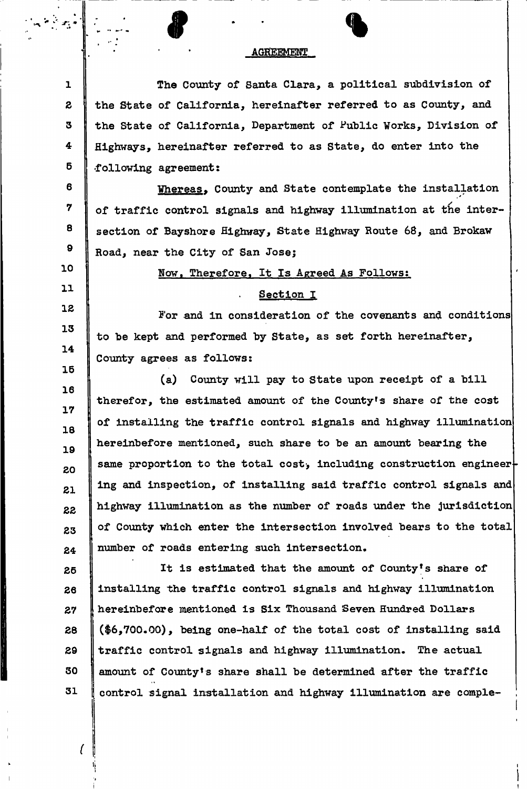# $\bullet$   $\bullet$   $\bullet$ **AGREEMENT**

**1 2 3 4 6 The County of Santa Clara, a political subdivision of the State of California, hereinafter referred to as County, and the State of California, Department of Public Works, Division of Highways, hereinafter referred to as State, do enter into the •following agreement:** 

**6 7 8 9 Whereas, County and State contemplate the installation of traffic control signals and highway illumination at the intersection of Bayshore Highway, {State Highway Route 68, and Brokaw Road, near the City of San Jose;** 

**Now, Therefore, It Is Agreed As Follows:** 

#### **Section I**

**For and in consideration of the covenants and conditions to be kept and performed by State, as set forth hereinafter, County agrees as follows:** 

**16 17 18 19 20 21 22 23 24 (a) County will pay to State upon receipt of a bill therefor, the estimated amount of the County<sup>f</sup>s share of the cost**  of installing the traffic control signals and highway illumination **hereinbefore mentioned, such share to be an amount bearing the**  same proportion to the total cost, including construction engineer**ing and inspection, of installing said traffic control signals and highway illumination as the number of roads under the jurisdiction of County which enter the intersection involved bears to the total number of roads entering such intersection.** 

**25 26 27 28 29 30 31 It is estimated that the amount of County's share of installing the traffic control signals and highway illumination hereinbefore mentioned is Six Thousand Seven Hundred Dollars (\$6,700.00), being one-half of the total cost of installing said traffic control signals and highway illumination. The actual amount of County<sup>1</sup>s share shall be determined after the traffic control signal installation and highway illumination are comple-**

*t* 

•i

**10** 

**11** 

**12** 

**13** 

**14** 

**15**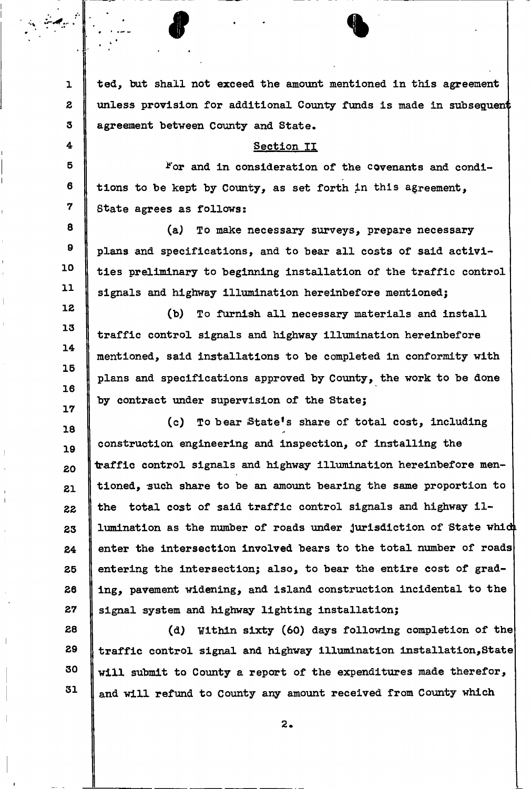**ted, bat shall not exceed the amount mentioned in this agreement**   $\mathbf{L}$ unless provision for additional County funds is made in subsequent  $\mathbf{z}$  $\mathbf{3}$ **agreement between County and State.**  4 **Section II**  5 **\*'or and in consideration of the covenants and condi-**6 **tions to be kept by County, as set forth in this agreement,**  7 **State agrees as follows:**  8 **(a) To make necessary surveys, prepare necessary**   $\mathbf{9}$ **plans and specifications, and to bear all costs of said activi-**10 **ties preliminary to beginning installation of the traffic control**   $11$ **signals and highway illumination hereinbefore mentioned;**  12 **(b) To furnish all necessary materials and install**  13 **traffic control signals and highway illumination hereinbefore**   $14$ **mentioned, said installations to be completed in conformity with**   $15$ **plans and specifications approved by County, the work to be done**   $16$ **by contract under supervision of the State;**   $17$ **(c) To bear iState's share of total cost, including**  18 **construction engineering and inspection, of installing the**  19 **traffic control signals and highway illumination hereinbefore men-**20 **tioned, such share to be an amount bearing the same proportion to**  21 **the total cost of said traffic control signals and highway il-**22 lumination as the number of roads under jurisdiction of State which 23 **enter the intersection involved bears to the total number of roads**  24 **entering the intersection; also, to bear the entire cost of grad-**25 26 **ing, pavement widening, and island construction incidental to the**  27 **signal system and highway lighting installation;**  28 **(d) ¥ithln sixty (60) days following completion of the**  29 **traffic control signal and highway illumination installation,State**  30 **will submit to County a report of the expenditures made therefor,**  31 **i and will refund to** County **any amount received from County which** 

**2** 

*9 %*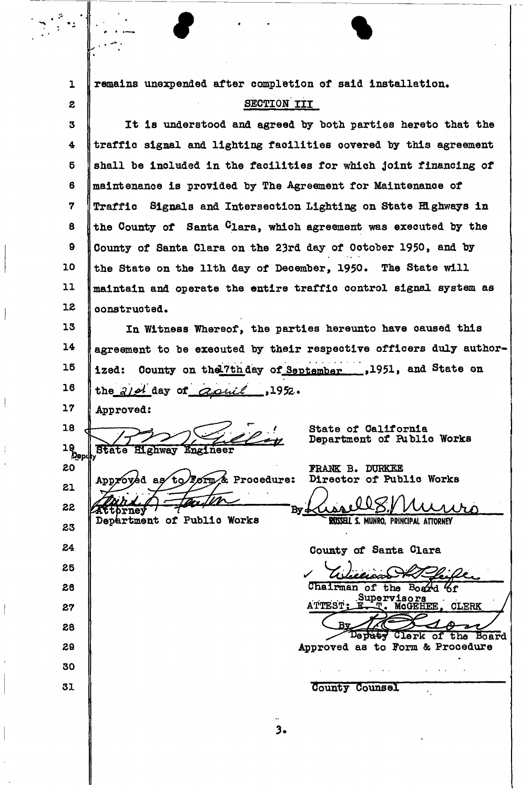| $\mathbf{I}$ | remains unexpended after completion of said installation.                                     |
|--------------|-----------------------------------------------------------------------------------------------|
| 2            | SECTION III                                                                                   |
| З            | It is understood and agreed by both parties hereto that the                                   |
| 4            | traffic signal and lighting facilities covered by this agreement                              |
| 6            | shall be included in the facilities for which joint financing of                              |
| 6            | maintenance is provided by The Agreement for Maintenance of                                   |
| 7            | Traffic Signals and Intersection Lighting on State Highways in                                |
| 8            | the County of Santa Clara, which agreement was executed by the                                |
| 9            | County of Santa Clara on the 23rd day of October 1950, and by                                 |
| 10           | the State on the 11th day of December, 1950. The State will                                   |
| 11           | maintain and operate the entire traffic control signal system as                              |
| 12           | constructed.                                                                                  |
| 13           | In Witness Whereof, the parties hereunto have caused this                                     |
| 14           | agreement to be executed by their respective officers duly author-                            |
| 16           | County on the 7th day of September 1951, and State on<br>ized:                                |
| 16           | the $210$ day of aquil<br>.1952.                                                              |
| 17           | Approved:                                                                                     |
| 18           | State of California                                                                           |
| 16<br>Depy   | Department of Public Works<br><b>State Highway Engineer</b>                                   |
| 20           | <b>FRANK B. DURKEE</b><br>Director of Public Works<br>as to Form & Procedure:                 |
| 21           | Approved                                                                                      |
| 22           | By 4<br><b>Attorney</b><br>Department of Public Works<br>RUSSELL S. MUNRO, PRINCIPAL ATTORNEY |
| 23           |                                                                                               |
| 24           | County of Santa Clara                                                                         |
| 25           |                                                                                               |
| 26           | Chairman of the Board 6f<br>Supervisors                                                       |
| 27           | ATTEST: E. T. MCGEHEE, CLERK                                                                  |
| 28           | Rv<br>Depaty Clerk of the Board                                                               |
| 29           | Approved as to Form & Procedure                                                               |
| 30           |                                                                                               |
| 31           | County Counsel                                                                                |
|              |                                                                                               |

 $\bigg\}$ 

 $\Bigg)$ 

 $\frac{1}{\sqrt{2}}$ 

 $\begin{array}{c} \begin{array}{c} \end{array} \end{array}$ 

 $\frac{1}{3}$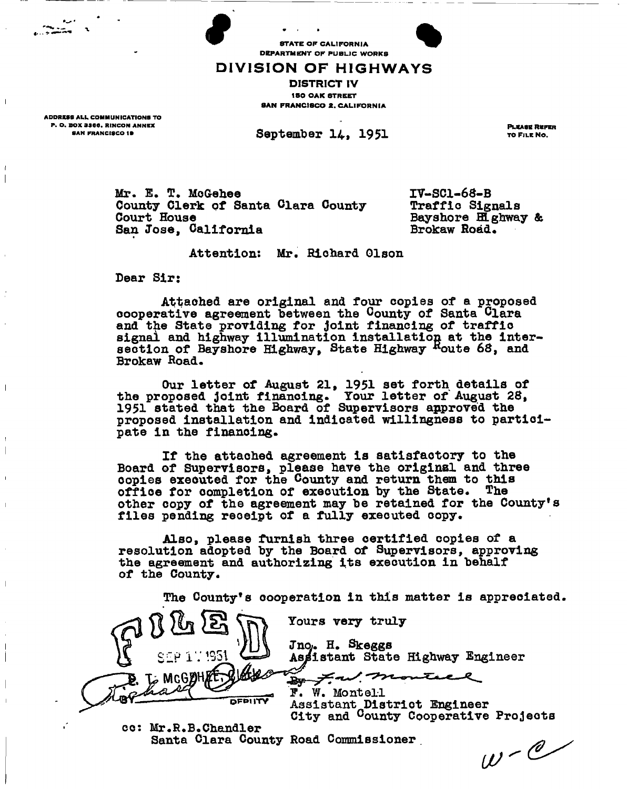STATE OF CALIFORNIA STATE OF CALIFORNIA<br>DEPARTMENT OF PUBLIC WORKS

# **DIVISION OF HIGHWAYS**

DISTRICT IV 150 OAK STREET SAN FRANCISCO 2, CALIFORNIA

ADDRESS ALL COMMUNICATIONS TO P. O. BOX 3366. RINCON ANNEX<br>
SAN FRANCISCO 18 8AN PRANCISCO 19

 $\mathbf{I}$ 

 $\mathbf{I}$ 

September 14, 1951 TOFILENO.

**Mr. E. T. McGehee Banta Clara County 17-SC1-68-B**<br> **County Clerk of Santa Clara County 1990 Traffic Signals County Clerk of Santa Clara County Court House** San Jose, California

**Bayshore Henway & Brokaw Road.** 

# **Attention: Mr. Richard Olson**

**Dear Sir;** 

**Attached are original and four copies of a proposed cooperative agreement between the County of Santa Clara and the State providing for joint financing of traffic signal and highway illumination installation at the intersection of Bayshore Highway, State Highway <sup>R</sup>oute 68, and Brokaw Road.** 

**Our letter of August 21, 1951 set forth details of the proposed joint finanoing. Your letter of August 28, 1951 stated that the Board of Supervisors approved the proposed installation and indicated willingness to participate in the financing.** 

**If the attached agreement is satisfactory to the Board of Supervisors, please have the original and three oopies executed for the County and return them to this**  office for completion of execution by the State. The **other copy of the agreement may toe retained for the County's files pending receipt of a fully executed copy.** 

**Also, please furnish three certified copies of a resolution adopted toy the Board of Supervisors, approving the agreement and authorizing its execution in behalf of the County.** 

**The County<sup>1</sup> s cooperation in this matter is appreciated** 



**cc: Mr.R.B.Chandler**  Santa Clara County Road Commissioner **and Commissioner**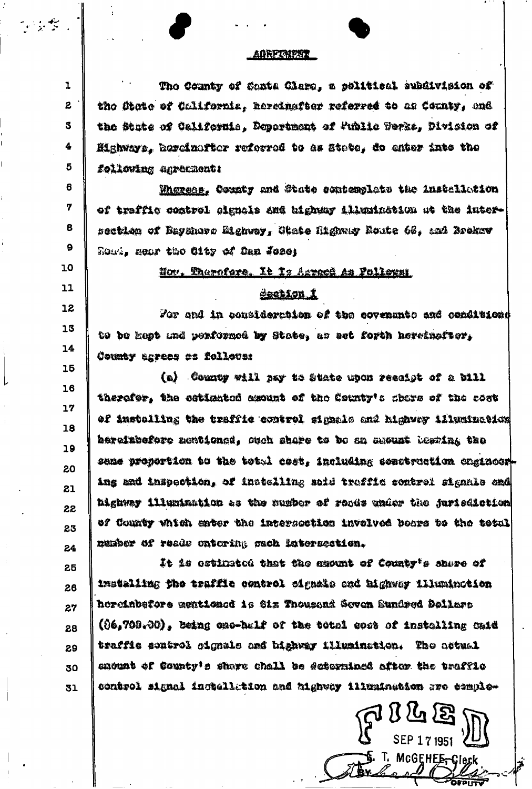#### **AGRETAIPNT**

的女子

6

 $\overline{7}$ 

 $\mathbf{9}$ 

10

 $11$ 

12

13

 $14$ 

15

16

 $17$ 

18

19

20

21

22

23

24

 $\mathbf{1}$ The County of Santa Clara, a political subdivision of  $\mathbf{z}$ the State of California. Rereinafter referred to as County, and 3 the State of California. Doportment of Fublic Terks. Division of 4 Highways, hardinatter referred to as State, do enter into the 5 following agreement:

Whereas. County and State esubemplate the installueion of traffic control cignals and highway illumination at the inter-8 section of Bayahoro Mighway, Giate Highway Route 66, and Brokev Rowl, mear the City of Dan Jose;

# Nov. Therefore. It Is Asreed as Follows:

# dechion i

For and in consideration of the covenants and conditions to be kept and performed by State, as set forth hereinsflor, County agrees as follows:

(a) County will nay to State upon rescipt of a bill therafor, the cstismted assumt of the County's share of the cost of installing the traffic control signals and highway illusination bereinbefore mentioned, such share to be an susunt bearing the same proportion to the total cost. including construction chainosring and inspection, of installing said traffic control signale and highway illumination as the number of ronds under the jurisdiction of County which enter the intersection involved boars to the total munber of reads entering such latersection.

It is estimated that the asount of County's share of 25 installing the traffic control signals and highway illumination 2.6 horeinbefore mentioned is Six Thousand Seven Sundred Dollars 27 (06,700.00), being exc-balf of the total gost of installing caid 28 traffic sontrol cignals and highway illumination. The attual 29 enount of County's share chall be ectorningd aftor the traffic 30 control signal ingtallation and highway illumination are templo-31

 $7000$ 

T. MCGEHEE<del>r</del>Clerk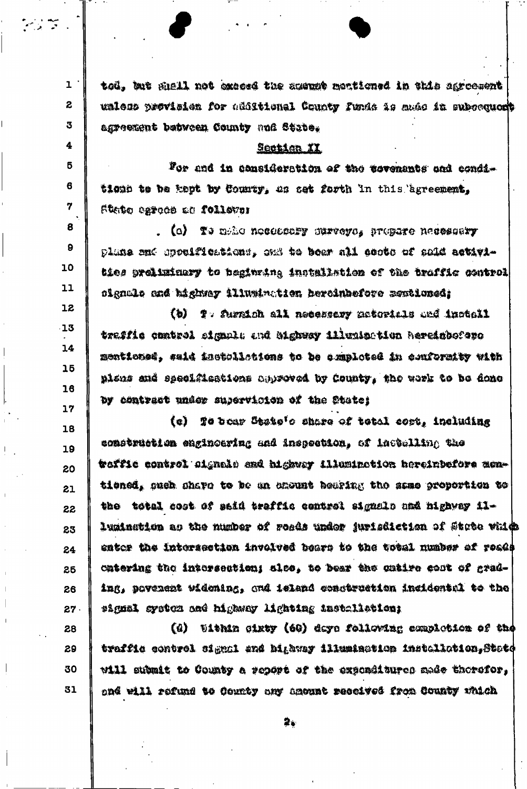$\mathbf{1}$ tod, but shell not exceed the suempt mentioned in this sgroesent unless provision for additional County funds is made in subcequedt agreement between County and State.

المستعمل المراجع<br>المستعمل العراقية

 $\boldsymbol{z}$ 

3

4

5

6

7

8

9

10

11

12

 $-13$ 

 $14$ 

 $15$ 

 $16$ 

 $17$ 

28

29

30

31

### Section XX

For and in consideration of the covenants and conditionn to be kept by County, as set forth in this egreement, Steito egroco de follovos

. (c) Te meho notossary surveys, propere neutscary plane and appelfications, ons to bear all coots of said activities prelizinary to beginning installation of the traffic control signale and bighway illumination hercinhefore newtioned;

(b) T. Surmich all necessary materials and inctell traffic control signal: and bighway illumination hereinboforo mentioned, said inctullations to be comploted in conformity with plans and specifications chproved by County, the work to be done by contract under supervicion of the State;

(e) To bear State's share of total cort, including 18 construction enginoering and inspection, of installing the 19 woffie control signale and highway illuminetion hereinbefore men-20 tioned, such share to be an excunt bearing the same groportion to 21 the total cost of said traffic control signals and highway il-22 lumination as the number of roads under jurisdiction of Stote vhids 23 enter the intersection involved boars to the total number of roads 24 catering the intersection; sles, to bear the catire cost of grad-25 ing, povenent widening, and island construction incidental to the 26 27. signal system and highway lighting installation;

(d) Uithin Ginty (60) days following completion of the traffic control signal and highway illumination installation, State will submit to County a report of the exponditures made therefor, and will refund to County any amount received from County which

2.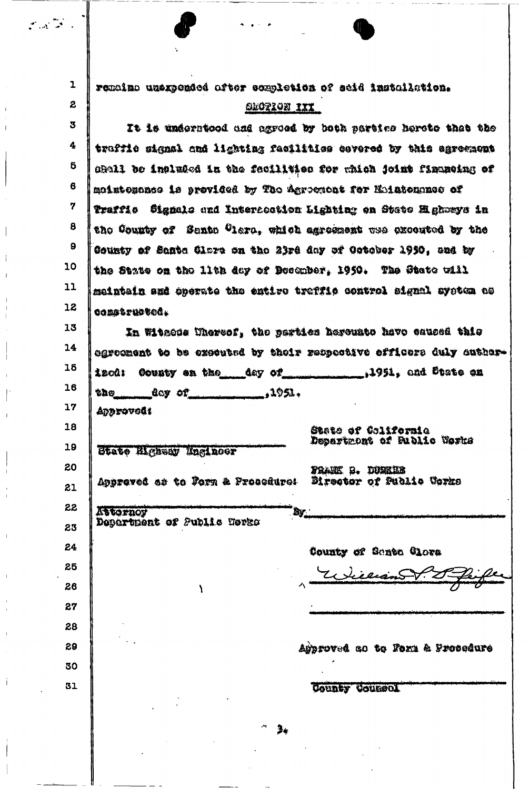| $\mathcal{F}(\mathcal{A}^{\frac{1}{2}})^{\mathcal{F}}$ . |                                                                                 |
|----------------------------------------------------------|---------------------------------------------------------------------------------|
|                                                          |                                                                                 |
| $\mathbf{1}$                                             | remaina uzexpended after completion of seid installation.                       |
| $\boldsymbol{z}$                                         | SEGTION III                                                                     |
| 3                                                        | It is underntoed and agreed by both partics hereto thet the                     |
| 4                                                        | traftio signal and lighting feoilities covered by this agreement                |
| 5                                                        | chall be included in the facilities for which joint financing of                |
| 6                                                        | moistessance is provided by The Agroenent for Moistempres of                    |
| 7                                                        | Traffio - Signale end Internoction Lighting on Stete Elgborys in                |
| 8                                                        | the County of Santo Clere, which agreement was executed by the                  |
| $\boldsymbol{\mathsf{g}}$                                | County of Sante Clare on the 23rd day of Oetober 1950, and by                   |
| 10                                                       | the State on the lith day of December, 1950. The State will                     |
| 11                                                       | meintain amé operate the entire treffic control signal system no                |
| 12                                                       | OODS & TUCTOOL                                                                  |
| 13                                                       | In Witmode Uhersof, the parties hereunte have caused this                       |
| 14                                                       | egroopent to be exceuted by their respective officers duly author-              |
| 15                                                       | County on the day of 1951, and Diate on<br>izcû:                                |
| 16                                                       | $$ ,1951.<br>eag,<br>$\frac{d\alpha y}{dx}$ of                                  |
| 17                                                       | Approvout                                                                       |
| 18                                                       | State of Colifornie<br>Department of Sublic Works                               |
| 19                                                       | State Highear Naginoer                                                          |
| 20                                                       | FRANK D. DUNKIN<br>Director of Public Corks<br>Approved es to Forn & Procedure: |
| 21                                                       |                                                                                 |
| 22                                                       | Attornoy<br>By <sub>am</sub><br>Department of Public Terks                      |
| 23<br>24                                                 |                                                                                 |
| 25                                                       | County of Santa Clora                                                           |
| 26                                                       | Lieuano                                                                         |
| 27                                                       |                                                                                 |
| 28                                                       |                                                                                 |
| 29                                                       | Approved ao to Form & Frocedure                                                 |
| 30                                                       |                                                                                 |
| 31                                                       | County Counsel                                                                  |
|                                                          |                                                                                 |
|                                                          | $\sim$<br>$\mathbf{a}$                                                          |

 $\label{eq:2} \frac{1}{\sqrt{2}}\sum_{i=1}^n\frac{1}{\sqrt{2}}\sum_{j=1}^n\frac{1}{j!}\sum_{j=1}^n\frac{1}{j!}\sum_{j=1}^n\frac{1}{j!}\sum_{j=1}^n\frac{1}{j!}\sum_{j=1}^n\frac{1}{j!}\sum_{j=1}^n\frac{1}{j!}\sum_{j=1}^n\frac{1}{j!}\sum_{j=1}^n\frac{1}{j!}\sum_{j=1}^n\frac{1}{j!}\sum_{j=1}^n\frac{1}{j!}\sum_{j=1}^n\frac{1}{j!}\sum_{j=1}^$ 

 $\mathbf{i}$